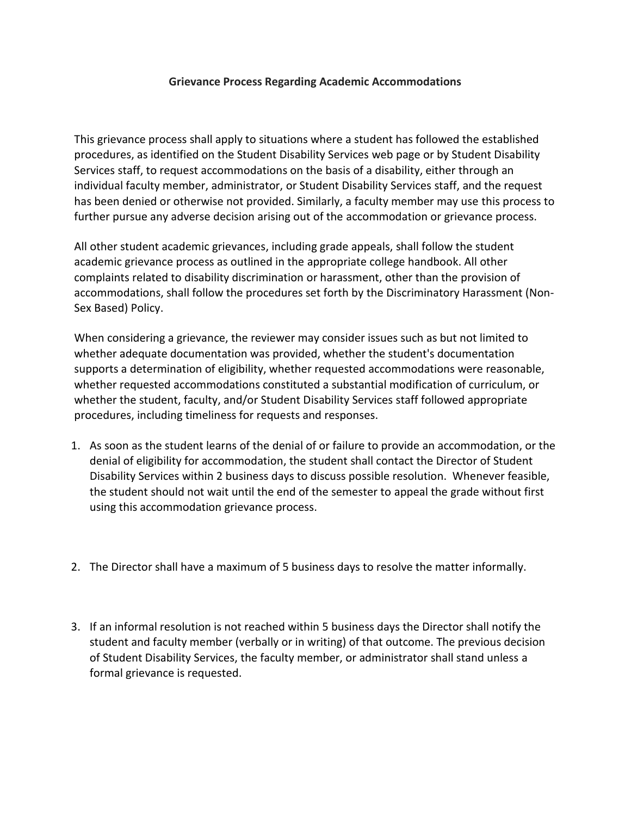## **Grievance Process Regarding Academic Accommodations**

This grievance process shall apply to situations where a student has followed the established procedures, as identified on the Student Disability Services web page or by Student Disability Services staff, to request accommodations on the basis of a disability, either through an individual faculty member, administrator, or Student Disability Services staff, and the request has been denied or otherwise not provided. Similarly, a faculty member may use this process to further pursue any adverse decision arising out of the accommodation or grievance process.

All other student academic grievances, including grade appeals, shall follow the student academic grievance process as outlined in the appropriate college handbook. All other complaints related to disability discrimination or harassment, other than the provision of accommodations, shall follow the procedures set forth by the Discriminatory Harassment (Non-Sex Based) Policy.

When considering a grievance, the reviewer may consider issues such as but not limited to whether adequate documentation was provided, whether the student's documentation supports a determination of eligibility, whether requested accommodations were reasonable, whether requested accommodations constituted a substantial modification of curriculum, or whether the student, faculty, and/or Student Disability Services staff followed appropriate procedures, including timeliness for requests and responses.

- 1. As soon as the student learns of the denial of or failure to provide an accommodation, or the denial of eligibility for accommodation, the student shall contact the Director of Student Disability Services within 2 business days to discuss possible resolution. Whenever feasible, the student should not wait until the end of the semester to appeal the grade without first using this accommodation grievance process.
- 2. The Director shall have a maximum of 5 business days to resolve the matter informally.
- 3. If an informal resolution is not reached within 5 business days the Director shall notify the student and faculty member (verbally or in writing) of that outcome. The previous decision of Student Disability Services, the faculty member, or administrator shall stand unless a formal grievance is requested.